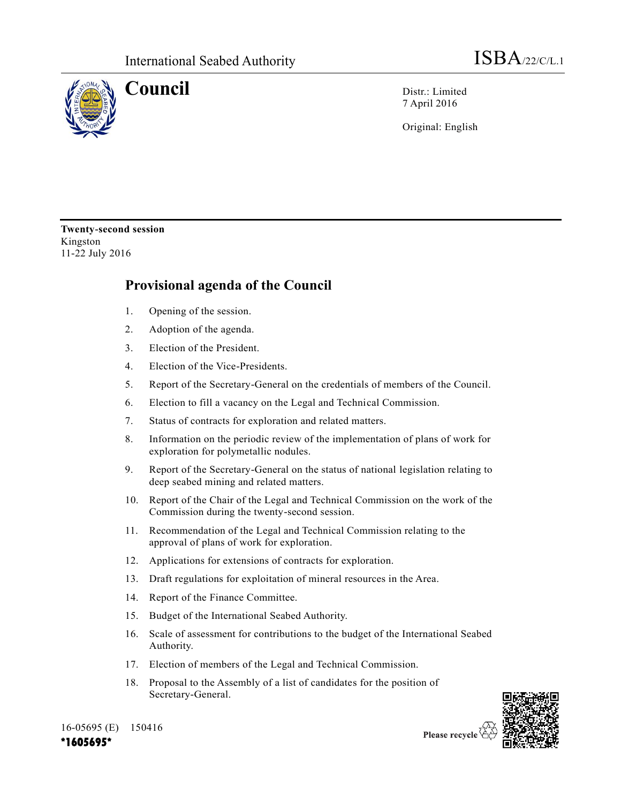

**Council** Distr.: Limited 7 April 2016

Original: English

**Twenty-second session** Kingston 11-22 July 2016

## **Provisional agenda of the Council**

- 1. Opening of the session.
- 2. Adoption of the agenda.
- 3. Election of the President.
- 4. Election of the Vice-Presidents.
- 5. Report of the Secretary-General on the credentials of members of the Council.
- 6. Election to fill a vacancy on the Legal and Technical Commission.
- 7. Status of contracts for exploration and related matters.
- 8. Information on the periodic review of the implementation of plans of work for exploration for polymetallic nodules.
- 9. Report of the Secretary-General on the status of national legislation relating to deep seabed mining and related matters.
- 10. Report of the Chair of the Legal and Technical Commission on the work of the Commission during the twenty-second session.
- 11. Recommendation of the Legal and Technical Commission relating to the approval of plans of work for exploration.
- 12. Applications for extensions of contracts for exploration.
- 13. Draft regulations for exploitation of mineral resources in the Area.
- 14. Report of the Finance Committee.
- 15. Budget of the International Seabed Authority.
- 16. Scale of assessment for contributions to the budget of the International Seabed Authority.
- 17. Election of members of the Legal and Technical Commission.
- 18. Proposal to the Assembly of a list of candidates for the position of Secretary-General.